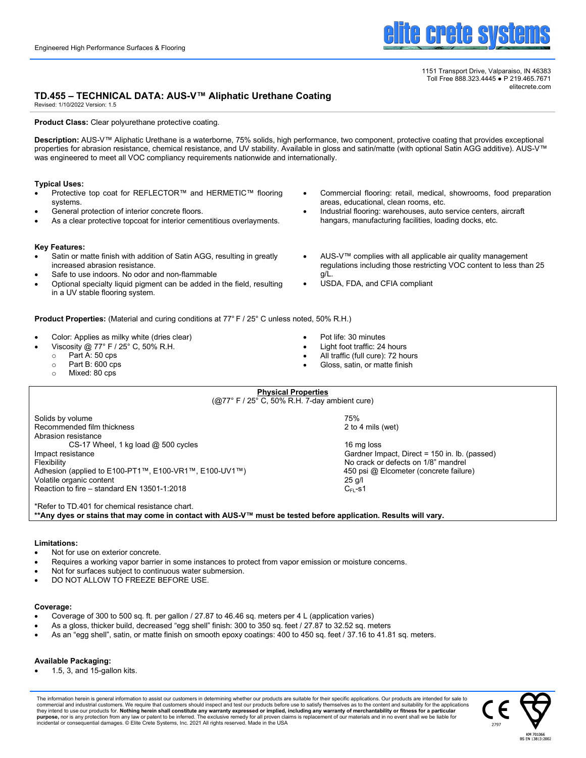

1151 Transport Drive, Valparaiso, IN 46383 Toll Free 888.323.4445 ● P 219.465.7671 elitecrete.com

# **TD.455 – TECHNICAL DATA: AUS-V™ Aliphatic Urethane Coating**

Revised: 1/10/2022 Version: 1.5

#### **Product Class:** Clear polyurethane protective coating.

**Description:** AUS-V™ Aliphatic Urethane is a waterborne, 75% solids, high performance, two component, protective coating that provides exceptional properties for abrasion resistance, chemical resistance, and UV stability. Available in gloss and satin/matte (with optional Satin AGG additive). AUS-V™ was engineered to meet all VOC compliancy requirements nationwide and internationally.

> **Physical Properties** (@77° F / 25° C, 50% R.H. 7-day ambient cure)

## **Typical Uses:**

- Protective top coat for REFLECTOR™ and HERMETIC™ flooring systems.
- General protection of interior concrete floors.
- As a clear protective topcoat for interior cementitious overlayments.

#### **Key Features:**

- Satin or matte finish with addition of Satin AGG, resulting in greatly increased abrasion resistance.
- Safe to use indoors. No odor and non-flammable
- Optional specialty liquid pigment can be added in the field, resulting in a UV stable flooring system.

**Product Properties:** (Material and curing conditions at 77° F / 25° C unless noted, 50% R.H.)

- Color: Applies as milky white (dries clear)
- Viscosity @ 77° F / 25° C, 50% R.H.
	- o Part A: 50 cps
	- $\circ$  Part B: 600 cps<br> $\circ$  Mixed: 80 cps
	- Mixed: 80 cps

• Pot life: 30 minutes

g/L.

- 
- All traffic (full cure): 72 hours
- Gloss, satin, or matte finish
- Solids by volume 75%<br>Recommended film thickness 2 to 4 mils (wet) Recommended film thickness Abrasion resistance  $CS-17$  Wheel, 1 kg load  $@$  500 cycles 16 mg loss 16 mg loss Impact resistance Impact resistance Cardner Impact, Direct = 150 in. lb. (passed)<br>Flexibility Cardner Impact, Direct = 150 in. lb. (passed) Adhesion (applied to E100-PT1™, E100-VR1™, E100-UV1™) 450 psi @ Elcometer (concrete failure) Volatile organic content 25 g/l Reaction to fire – standard EN 13501-1:2018  $C_{FL-}$ S1

\*Refer to TD.401 for chemical resistance chart.

**\*\*Any dyes or stains that may come in contact with AUS-V™ must be tested before application. Results will vary.**

## **Limitations:**

- Not for use on exterior concrete.
- Requires a working vapor barrier in some instances to protect from vapor emission or moisture concerns.
- Not for surfaces subject to continuous water submersion.
- DO NOT ALLOW TO FREEZE BEFORE USF.

## **Coverage:**

- Coverage of 300 to 500 sq. ft. per gallon / 27.87 to 46.46 sq. meters per 4 L (application varies)
- As a gloss, thicker build, decreased "egg shell" finish: 300 to 350 sq. feet / 27.87 to 32.52 sq. meters
- As an "egg shell", satin, or matte finish on smooth epoxy coatings: 400 to 450 sq. feet / 37.16 to 41.81 sq. meters.

# **Available Packaging:**

• 1.5, 3, and 15-gallon kits.

The information herein is general information to assist our customers in determining whether our products are suitable for their specific applications. Our products are intended for sale to<br>commercial and industrial custom they intend to use our products for. **Nothing herein shall constitute any warranty expressed or implied, including any warranty of merchantability or fitness for a particular<br><b>purpose,** nor is any protection from any law o incidental or consequential damages. © Elite Crete Systems, Inc. 2021 All rights reserved. Made in the USA



Light foot traffic: 24 hours

areas, educational, clean rooms, etc.

USDA, FDA, and CFIA compliant

• Commercial flooring: retail, medical, showrooms, food preparation

Industrial flooring: warehouses, auto service centers, aircraft hangars, manufacturing facilities, loading docks, etc.

AUS-V™ complies with all applicable air quality management regulations including those restricting VOC content to less than 25

- 
- 

No crack or defects on 1/8" mandrel